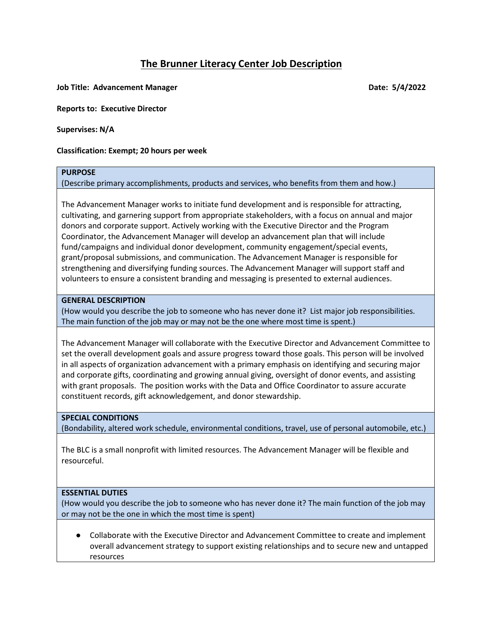# **The Brunner Literacy Center Job Description**

**Job Title: Advancement Manager Date: 5/4/2022** 

**Reports to: Executive Director**

**Supervises: N/A**

**Classification: Exempt; 20 hours per week**

## **PURPOSE**

(Describe primary accomplishments, products and services, who benefits from them and how.)

The Advancement Manager works to initiate fund development and is responsible for attracting, cultivating, and garnering support from appropriate stakeholders, with a focus on annual and major donors and corporate support. Actively working with the Executive Director and the Program Coordinator, the Advancement Manager will develop an advancement plan that will include fund/campaigns and individual donor development, community engagement/special events, grant/proposal submissions, and communication. The Advancement Manager is responsible for strengthening and diversifying funding sources. The Advancement Manager will support staff and volunteers to ensure a consistent branding and messaging is presented to external audiences.

### **GENERAL DESCRIPTION**

(How would you describe the job to someone who has never done it? List major job responsibilities. The main function of the job may or may not be the one where most time is spent.)

The Advancement Manager will collaborate with the Executive Director and Advancement Committee to set the overall development goals and assure progress toward those goals. This person will be involved in all aspects of organization advancement with a primary emphasis on identifying and securing major and corporate gifts, coordinating and growing annual giving, oversight of donor events, and assisting with grant proposals. The position works with the Data and Office Coordinator to assure accurate constituent records, gift acknowledgement, and donor stewardship.

#### **SPECIAL CONDITIONS**

(Bondability, altered work schedule, environmental conditions, travel, use of personal automobile, etc.)

The BLC is a small nonprofit with limited resources. The Advancement Manager will be flexible and resourceful.

## **ESSENTIAL DUTIES**

(How would you describe the job to someone who has never done it? The main function of the job may or may not be the one in which the most time is spent)

● Collaborate with the Executive Director and Advancement Committee to create and implement overall advancement strategy to support existing relationships and to secure new and untapped resources